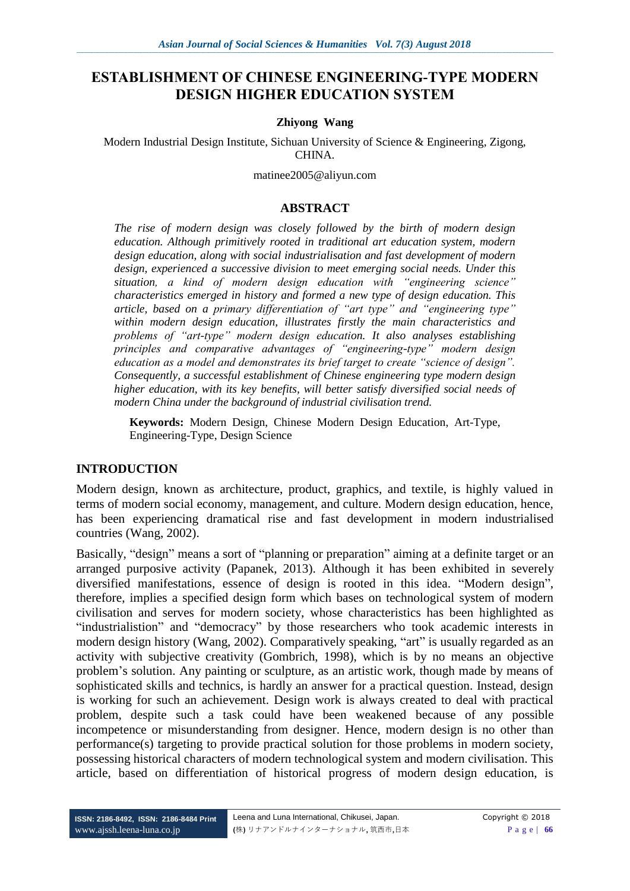# **ESTABLISHMENT OF CHINESE ENGINEERING-TYPE MODERN DESIGN HIGHER EDUCATION SYSTEM**

#### **Zhiyong Wang**

Modern Industrial Design Institute, Sichuan University of Science & Engineering, Zigong, CHINA.

[matinee2005@aliyun.com](mailto:matinee2005@aliyun.com)

#### **ABSTRACT**

*The rise of modern design was closely followed by the birth of modern design education. Although primitively rooted in traditional art education system, modern design education, along with social industrialisation and fast development of modern design, experienced a successive division to meet emerging social needs. Under this situation, a kind of modern design education with "engineering science" characteristics emerged in history and formed a new type of design education. This article, based on a primary differentiation of "art type" and "engineering type" within modern design education, illustrates firstly the main characteristics and problems of "art-type" modern design education. It also analyses establishing principles and comparative advantages of "engineering-type" modern design education as a model and demonstrates its brief target to create "science of design". Consequently, a successful establishment of Chinese engineering type modern design higher education, with its key benefits, will better satisfy diversified social needs of modern China under the background of industrial civilisation trend.*

**Keywords:** Modern Design, Chinese Modern Design Education, Art-Type, Engineering-Type, Design Science

#### **INTRODUCTION**

Modern design, known as architecture, product, graphics, and textile, is highly valued in terms of modern social economy, management, and culture. Modern design education, hence, has been experiencing dramatical rise and fast development in modern industrialised countries (Wang, 2002).

Basically, "design" means a sort of "planning or preparation" aiming at a definite target or an arranged purposive activity (Papanek, 2013). Although it has been exhibited in severely diversified manifestations, essence of design is rooted in this idea. "Modern design", therefore, implies a specified design form which bases on technological system of modern civilisation and serves for modern society, whose characteristics has been highlighted as "industrialistion" and "democracy" by those researchers who took academic interests in modern design history (Wang, 2002). Comparatively speaking, "art" is usually regarded as an activity with subjective creativity (Gombrich, 1998), which is by no means an objective problem's solution. Any painting or sculpture, as an artistic work, though made by means of sophisticated skills and technics, is hardly an answer for a practical question. Instead, design is working for such an achievement. Design work is always created to deal with practical problem, despite such a task could have been weakened because of any possible incompetence or misunderstanding from designer. Hence, modern design is no other than performance(s) targeting to provide practical solution for those problems in modern society, possessing historical characters of modern technological system and modern civilisation. This article, based on differentiation of historical progress of modern design education, is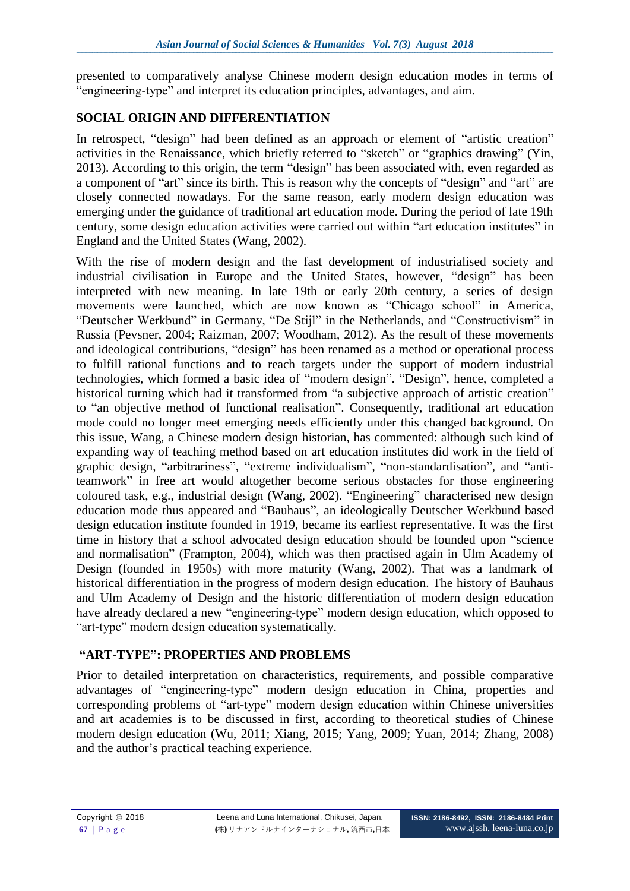presented to comparatively analyse Chinese modern design education modes in terms of "engineering-type" and interpret its education principles, advantages, and aim.

## **SOCIAL ORIGIN AND DIFFERENTIATION**

In retrospect, "design" had been defined as an approach or element of "artistic creation" activities in the Renaissance, which briefly referred to "sketch" or "graphics drawing" (Yin, 2013). According to this origin, the term "design" has been associated with, even regarded as a component of "art" since its birth. This is reason why the concepts of "design" and "art" are closely connected nowadays. For the same reason, early modern design education was emerging under the guidance of traditional art education mode. During the period of late 19th century, some design education activities were carried out within "art education institutes" in England and the United States (Wang, 2002).

With the rise of modern design and the fast development of industrialised society and industrial civilisation in Europe and the United States, however, "design" has been interpreted with new meaning. In late 19th or early 20th century, a series of design movements were launched, which are now known as "Chicago school" in America, "Deutscher Werkbund" in Germany, "De Stijl" in the Netherlands, and "Constructivism" in Russia (Pevsner, 2004; Raizman, 2007; Woodham, 2012). As the result of these movements and ideological contributions, "design" has been renamed as a method or operational process to fulfill rational functions and to reach targets under the support of modern industrial technologies, which formed a basic idea of "modern design". "Design", hence, completed a historical turning which had it transformed from "a subjective approach of artistic creation" to "an objective method of functional realisation". Consequently, traditional art education mode could no longer meet emerging needs efficiently under this changed background. On this issue, Wang, a Chinese modern design historian, has commented: although such kind of expanding way of teaching method based on art education institutes did work in the field of graphic design, "arbitrariness", "extreme individualism", "non-standardisation", and "antiteamwork" in free art would altogether become serious obstacles for those engineering coloured task, e.g., industrial design (Wang, 2002). "Engineering" characterised new design education mode thus appeared and "Bauhaus", an ideologically Deutscher Werkbund based design education institute founded in 1919, became its earliest representative. It was the first time in history that a school advocated design education should be founded upon "science and normalisation" (Frampton, 2004), which was then practised again in Ulm Academy of Design (founded in 1950s) with more maturity (Wang, 2002). That was a landmark of historical differentiation in the progress of modern design education. The history of Bauhaus and Ulm Academy of Design and the historic differentiation of modern design education have already declared a new "engineering-type" modern design education, which opposed to "art-type" modern design education systematically.

## **"ART-TYPE": PROPERTIES AND PROBLEMS**

Prior to detailed interpretation on characteristics, requirements, and possible comparative advantages of "engineering-type" modern design education in China, properties and corresponding problems of "art-type" modern design education within Chinese universities and art academies is to be discussed in first, according to theoretical studies of Chinese modern design education (Wu, 2011; Xiang, 2015; Yang, 2009; Yuan, 2014; Zhang, 2008) and the author's practical teaching experience.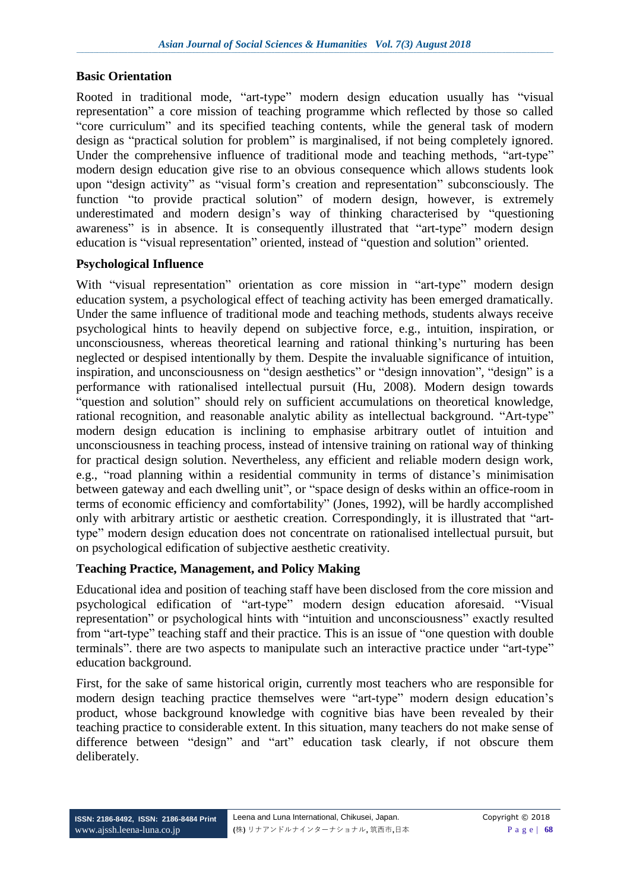## **Basic Orientation**

Rooted in traditional mode, "art-type" modern design education usually has "visual representation" a core mission of teaching programme which reflected by those so called "core curriculum" and its specified teaching contents, while the general task of modern design as "practical solution for problem" is marginalised, if not being completely ignored. Under the comprehensive influence of traditional mode and teaching methods, "art-type" modern design education give rise to an obvious consequence which allows students look upon "design activity" as "visual form's creation and representation" subconsciously. The function "to provide practical solution" of modern design, however, is extremely underestimated and modern design's way of thinking characterised by "questioning awareness" is in absence. It is consequently illustrated that "art-type" modern design education is "visual representation" oriented, instead of "question and solution" oriented.

## **Psychological Influence**

With "visual representation" orientation as core mission in "art-type" modern design education system, a psychological effect of teaching activity has been emerged dramatically. Under the same influence of traditional mode and teaching methods, students always receive psychological hints to heavily depend on subjective force, e.g., intuition, inspiration, or unconsciousness, whereas theoretical learning and rational thinking's nurturing has been neglected or despised intentionally by them. Despite the invaluable significance of intuition, inspiration, and unconsciousness on "design aesthetics" or "design innovation", "design" is a performance with rationalised intellectual pursuit (Hu, 2008). Modern design towards "question and solution" should rely on sufficient accumulations on theoretical knowledge, rational recognition, and reasonable analytic ability as intellectual background. "Art-type" modern design education is inclining to emphasise arbitrary outlet of intuition and unconsciousness in teaching process, instead of intensive training on rational way of thinking for practical design solution. Nevertheless, any efficient and reliable modern design work, e.g., "road planning within a residential community in terms of distance's minimisation between gateway and each dwelling unit", or "space design of desks within an office-room in terms of economic efficiency and comfortability" (Jones, 1992), will be hardly accomplished only with arbitrary artistic or aesthetic creation. Correspondingly, it is illustrated that "arttype" modern design education does not concentrate on rationalised intellectual pursuit, but on psychological edification of subjective aesthetic creativity.

## **Teaching Practice, Management, and Policy Making**

Educational idea and position of teaching staff have been disclosed from the core mission and psychological edification of "art-type" modern design education aforesaid. "Visual representation" or psychological hints with "intuition and unconsciousness" exactly resulted from "art-type" teaching staff and their practice. This is an issue of "one question with double terminals". there are two aspects to manipulate such an interactive practice under "art-type" education background.

First, for the sake of same historical origin, currently most teachers who are responsible for modern design teaching practice themselves were "art-type" modern design education's product, whose background knowledge with cognitive bias have been revealed by their teaching practice to considerable extent. In this situation, many teachers do not make sense of difference between "design" and "art" education task clearly, if not obscure them deliberately.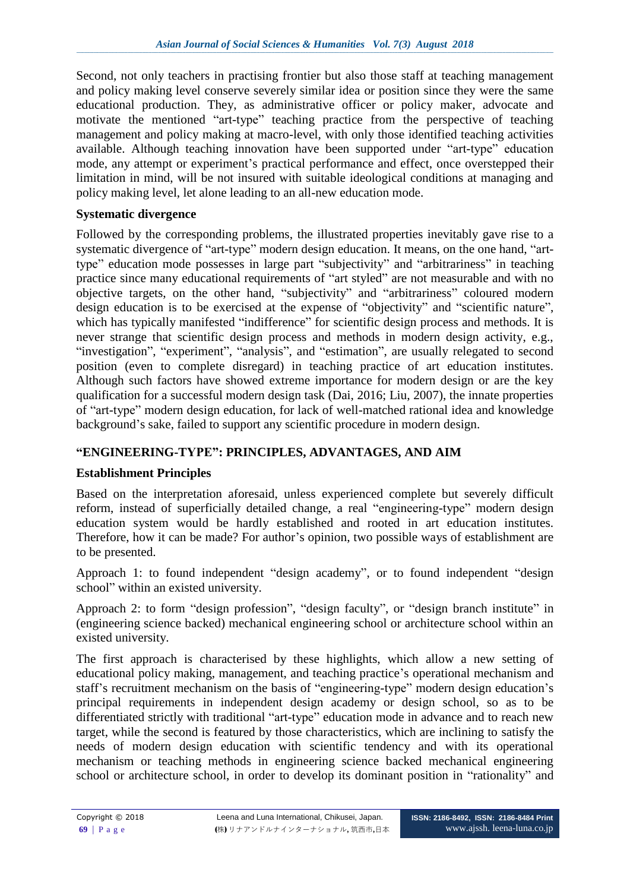Second, not only teachers in practising frontier but also those staff at teaching management and policy making level conserve severely similar idea or position since they were the same educational production. They, as administrative officer or policy maker, advocate and motivate the mentioned "art-type" teaching practice from the perspective of teaching management and policy making at macro-level, with only those identified teaching activities available. Although teaching innovation have been supported under "art-type" education mode, any attempt or experiment's practical performance and effect, once overstepped their limitation in mind, will be not insured with suitable ideological conditions at managing and policy making level, let alone leading to an all-new education mode.

## **Systematic divergence**

Followed by the corresponding problems, the illustrated properties inevitably gave rise to a systematic divergence of "art-type" modern design education. It means, on the one hand, "arttype" education mode possesses in large part "subjectivity" and "arbitrariness" in teaching practice since many educational requirements of "art styled" are not measurable and with no objective targets, on the other hand, "subjectivity" and "arbitrariness" coloured modern design education is to be exercised at the expense of "objectivity" and "scientific nature", which has typically manifested "indifference" for scientific design process and methods. It is never strange that scientific design process and methods in modern design activity, e.g., "investigation", "experiment", "analysis", and "estimation", are usually relegated to second position (even to complete disregard) in teaching practice of art education institutes. Although such factors have showed extreme importance for modern design or are the key qualification for a successful modern design task (Dai, 2016; Liu, 2007), the innate properties of "art-type" modern design education, for lack of well-matched rational idea and knowledge background's sake, failed to support any scientific procedure in modern design.

## **"ENGINEERING-TYPE": PRINCIPLES, ADVANTAGES, AND AIM**

## **Establishment Principles**

Based on the interpretation aforesaid, unless experienced complete but severely difficult reform, instead of superficially detailed change, a real "engineering-type" modern design education system would be hardly established and rooted in art education institutes. Therefore, how it can be made? For author's opinion, two possible ways of establishment are to be presented.

Approach 1: to found independent "design academy", or to found independent "design school" within an existed university.

Approach 2: to form "design profession", "design faculty", or "design branch institute" in (engineering science backed) mechanical engineering school or architecture school within an existed university.

The first approach is characterised by these highlights, which allow a new setting of educational policy making, management, and teaching practice's operational mechanism and staff's recruitment mechanism on the basis of "engineering-type" modern design education's principal requirements in independent design academy or design school, so as to be differentiated strictly with traditional "art-type" education mode in advance and to reach new target, while the second is featured by those characteristics, which are inclining to satisfy the needs of modern design education with scientific tendency and with its operational mechanism or teaching methods in engineering science backed mechanical engineering school or architecture school, in order to develop its dominant position in "rationality" and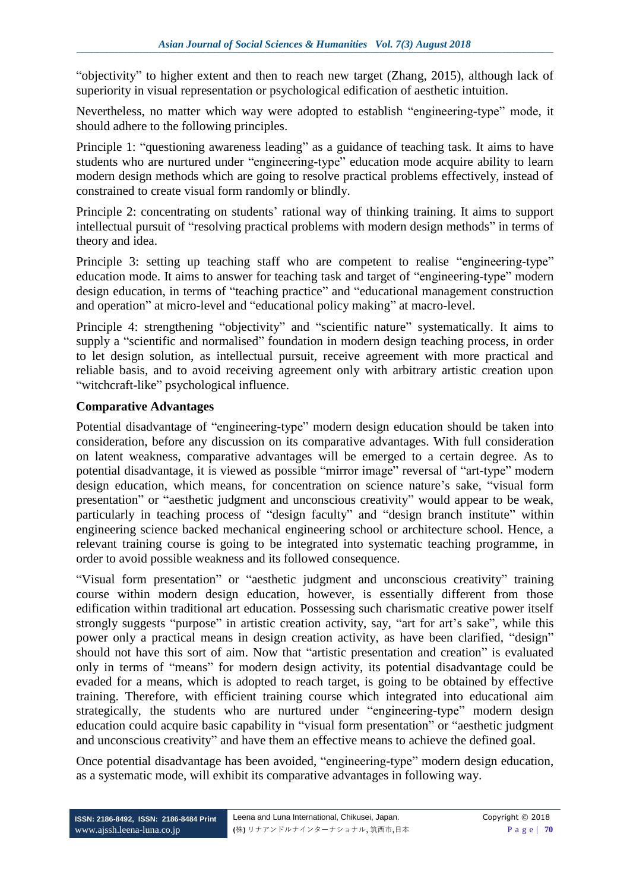"objectivity" to higher extent and then to reach new target (Zhang, 2015), although lack of superiority in visual representation or psychological edification of aesthetic intuition.

Nevertheless, no matter which way were adopted to establish "engineering-type" mode, it should adhere to the following principles.

Principle 1: "questioning awareness leading" as a guidance of teaching task. It aims to have students who are nurtured under "engineering-type" education mode acquire ability to learn modern design methods which are going to resolve practical problems effectively, instead of constrained to create visual form randomly or blindly.

Principle 2: concentrating on students' rational way of thinking training. It aims to support intellectual pursuit of "resolving practical problems with modern design methods" in terms of theory and idea.

Principle 3: setting up teaching staff who are competent to realise "engineering-type" education mode. It aims to answer for teaching task and target of "engineering-type" modern design education, in terms of "teaching practice" and "educational management construction and operation" at micro-level and "educational policy making" at macro-level.

Principle 4: strengthening "objectivity" and "scientific nature" systematically. It aims to supply a "scientific and normalised" foundation in modern design teaching process, in order to let design solution, as intellectual pursuit, receive agreement with more practical and reliable basis, and to avoid receiving agreement only with arbitrary artistic creation upon "witchcraft-like" psychological influence.

## **Comparative Advantages**

Potential disadvantage of "engineering-type" modern design education should be taken into consideration, before any discussion on its comparative advantages. With full consideration on latent weakness, comparative advantages will be emerged to a certain degree. As to potential disadvantage, it is viewed as possible "mirror image" reversal of "art-type" modern design education, which means, for concentration on science nature's sake, "visual form presentation" or "aesthetic judgment and unconscious creativity" would appear to be weak, particularly in teaching process of "design faculty" and "design branch institute" within engineering science backed mechanical engineering school or architecture school. Hence, a relevant training course is going to be integrated into systematic teaching programme, in order to avoid possible weakness and its followed consequence.

"Visual form presentation" or "aesthetic judgment and unconscious creativity" training course within modern design education, however, is essentially different from those edification within traditional art education. Possessing such charismatic creative power itself strongly suggests "purpose" in artistic creation activity, say, "art for art's sake", while this power only a practical means in design creation activity, as have been clarified, "design" should not have this sort of aim. Now that "artistic presentation and creation" is evaluated only in terms of "means" for modern design activity, its potential disadvantage could be evaded for a means, which is adopted to reach target, is going to be obtained by effective training. Therefore, with efficient training course which integrated into educational aim strategically, the students who are nurtured under "engineering-type" modern design education could acquire basic capability in "visual form presentation" or "aesthetic judgment and unconscious creativity" and have them an effective means to achieve the defined goal.

Once potential disadvantage has been avoided, "engineering-type" modern design education, as a systematic mode, will exhibit its comparative advantages in following way.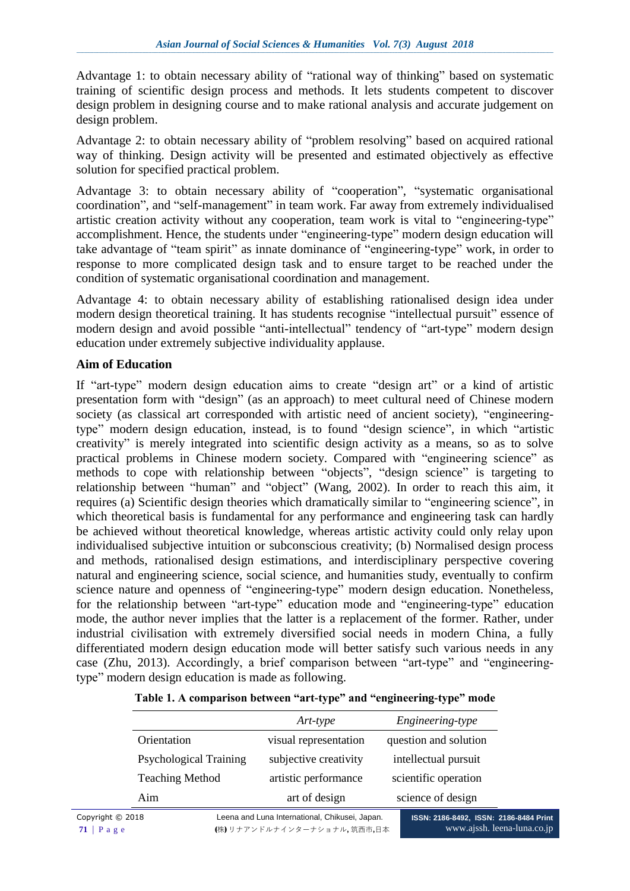Advantage 1: to obtain necessary ability of "rational way of thinking" based on systematic training of scientific design process and methods. It lets students competent to discover design problem in designing course and to make rational analysis and accurate judgement on design problem.

Advantage 2: to obtain necessary ability of "problem resolving" based on acquired rational way of thinking. Design activity will be presented and estimated objectively as effective solution for specified practical problem.

Advantage 3: to obtain necessary ability of "cooperation", "systematic organisational coordination", and "self-management" in team work. Far away from extremely individualised artistic creation activity without any cooperation, team work is vital to "engineering-type" accomplishment. Hence, the students under "engineering-type" modern design education will take advantage of "team spirit" as innate dominance of "engineering-type" work, in order to response to more complicated design task and to ensure target to be reached under the condition of systematic organisational coordination and management.

Advantage 4: to obtain necessary ability of establishing rationalised design idea under modern design theoretical training. It has students recognise "intellectual pursuit" essence of modern design and avoid possible "anti-intellectual" tendency of "art-type" modern design education under extremely subjective individuality applause.

#### **Aim of Education**

If "art-type" modern design education aims to create "design art" or a kind of artistic presentation form with "design" (as an approach) to meet cultural need of Chinese modern society (as classical art corresponded with artistic need of ancient society), "engineeringtype" modern design education, instead, is to found "design science", in which "artistic creativity" is merely integrated into scientific design activity as a means, so as to solve practical problems in Chinese modern society. Compared with "engineering science" as methods to cope with relationship between "objects", "design science" is targeting to relationship between "human" and "object" (Wang, 2002). In order to reach this aim, it requires (a) Scientific design theories which dramatically similar to "engineering science", in which theoretical basis is fundamental for any performance and engineering task can hardly be achieved without theoretical knowledge, whereas artistic activity could only relay upon individualised subjective intuition or subconscious creativity; (b) Normalised design process and methods, rationalised design estimations, and interdisciplinary perspective covering natural and engineering science, social science, and humanities study, eventually to confirm science nature and openness of "engineering-type" modern design education. Nonetheless, for the relationship between "art-type" education mode and "engineering-type" education mode, the author never implies that the latter is a replacement of the former. Rather, under industrial civilisation with extremely diversified social needs in modern China, a fully differentiated modern design education mode will better satisfy such various needs in any case (Zhu, 2013). Accordingly, a brief comparison between "art-type" and "engineeringtype" modern design education is made as following.

|                               | Art-type              | Engineering-type      |
|-------------------------------|-----------------------|-----------------------|
| Orientation                   | visual representation | question and solution |
| <b>Psychological Training</b> | subjective creativity | intellectual pursuit  |
| <b>Teaching Method</b>        | artistic performance  | scientific operation  |
| Aim                           | art of design         | science of design     |

| Table 1. A comparison between "art-type" and "engineering-type" mode |  |  |
|----------------------------------------------------------------------|--|--|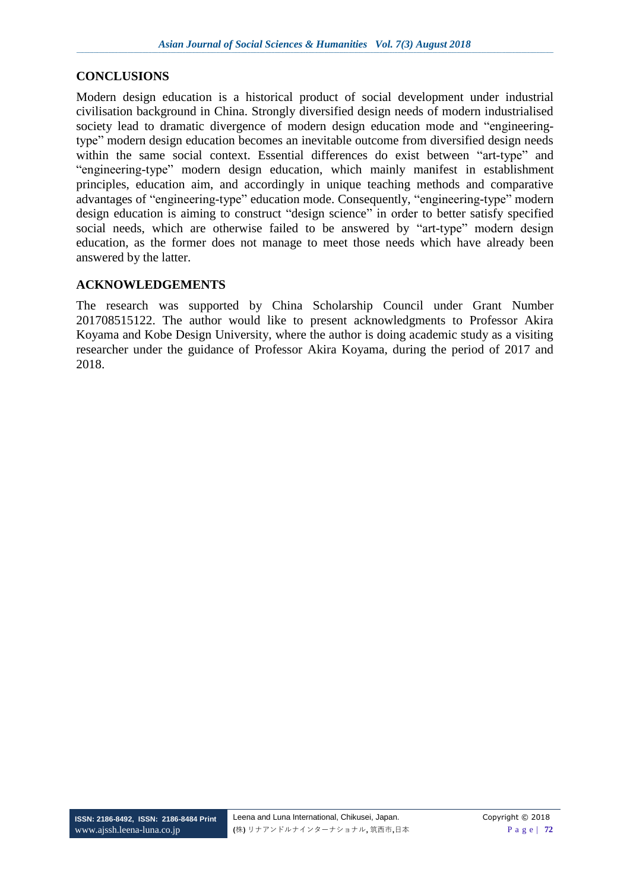## **CONCLUSIONS**

Modern design education is a historical product of social development under industrial civilisation background in China. Strongly diversified design needs of modern industrialised society lead to dramatic divergence of modern design education mode and "engineeringtype" modern design education becomes an inevitable outcome from diversified design needs within the same social context. Essential differences do exist between "art-type" and "engineering-type" modern design education, which mainly manifest in establishment principles, education aim, and accordingly in unique teaching methods and comparative advantages of "engineering-type" education mode. Consequently, "engineering-type" modern design education is aiming to construct "design science" in order to better satisfy specified social needs, which are otherwise failed to be answered by "art-type" modern design education, as the former does not manage to meet those needs which have already been answered by the latter.

## **ACKNOWLEDGEMENTS**

The research was supported by China Scholarship Council under Grant Number 201708515122. The author would like to present acknowledgments to Professor Akira Koyama and Kobe Design University, where the author is doing academic study as a visiting researcher under the guidance of Professor Akira Koyama, during the period of 2017 and 2018.